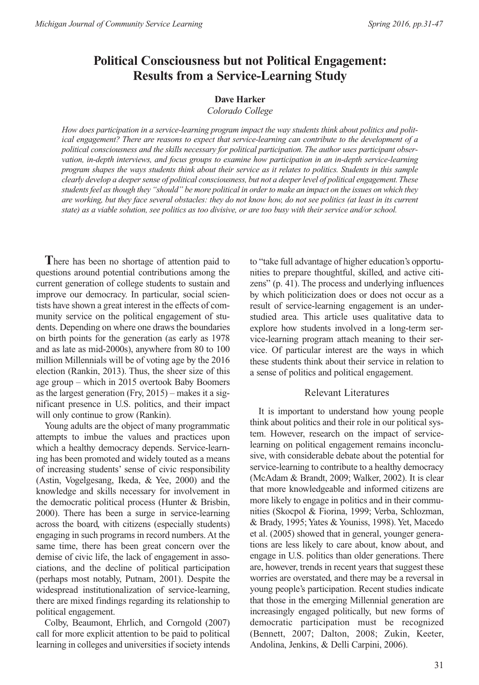# **Political Consciousness but not Political Engagement: Results from a Service-Learning Study**

#### **Dave Harker**

*Colorado College*

*How does participation in a service-learning program impact the way students think about politics and political engagement? There are reasons to expect that service-learning can contribute to the development of a political consciousness and the skills necessary for political participation. The author uses participant observation, in-depth interviews, and focus groups to examine how participation in an in-depth service-learning* program shapes the ways students think about their service as it relates to politics. Students in this sample *clearly develop a deepersense of political consciousness, but not a deeperlevel of political engagement.These* students feel as though they "should" be more political in order to make an impact on the issues on which they are working, but they face several obstacles: they do not know how, do not see politics (at least in its current state) as a viable solution, see politics as too divisive, or are too busy with their service and/or school.

**T**here has been no shortage of attention paid to questions around potential contributions among the current generation of college students to sustain and improve our democracy. In particular, social scientists have shown a great interest in the effects of community service on the political engagement of students. Depending on where one draws the boundaries on birth points for the generation (as early as 1978 and as late as mid-2000s), anywhere from 80 to 100 million Millennials will be of voting age by the 2016 election (Rankin, 2013). Thus, the sheer size of this age group – which in 2015 overtook Baby Boomers as the largest generation (Fry, 2015) – makes it a significant presence in U.S. politics, and their impact will only continue to grow (Rankin).

Young adults are the object of many programmatic attempts to imbue the values and practices upon which a healthy democracy depends. Service-learning has been promoted and widely touted as a means of increasing students' sense of civic responsibility (Astin, Vogelgesang, Ikeda, & Yee, 2000) and the knowledge and skills necessary for involvement in the democratic political process (Hunter & Brisbin, 2000). There has been a surge in service-learning across the board, with citizens (especially students) engaging in such programs in record numbers. At the same time, there has been great concern over the demise of civic life, the lack of engagement in associations, and the decline of political participation (perhaps most notably, Putnam, 2001). Despite the widespread institutionalization of service-learning, there are mixed findings regarding its relationship to political engagement.

Colby, Beaumont, Ehrlich, and Corngold (2007) call for more explicit attention to be paid to political learning in colleges and universities if society intends

to "take full advantage of higher education's opportunities to prepare thoughtful, skilled, and active citizens" (p. 41). The process and underlying influences by which politicization does or does not occur as a result of service-learning engagement is an understudied area. This article uses qualitative data to explore how students involved in a long-term service-learning program attach meaning to their service. Of particular interest are the ways in which these students think about their service in relation to a sense of politics and political engagement.

## Relevant Literatures

It is important to understand how young people think about politics and their role in our political system. However, research on the impact of servicelearning on political engagement remains inconclusive, with considerable debate about the potential for service-learning to contribute to a healthy democracy (McAdam & Brandt, 2009; Walker, 2002). It is clear that more knowledgeable and informed citizens are more likely to engage in politics and in their communities (Skocpol & Fiorina, 1999; Verba, Schlozman, & Brady, 1995; Yates & Youniss, 1998). Yet, Macedo et al. (2005) showed that in general, younger generations are less likely to care about, know about, and engage in U.S. politics than older generations. There are, however, trends in recent years that suggest these worries are overstated, and there may be a reversal in young people's participation. Recent studies indicate that those in the emerging Millennial generation are increasingly engaged politically, but new forms of democratic participation must be recognized (Bennett, 2007; Dalton, 2008; Zukin, Keeter, Andolina, Jenkins, & Delli Carpini, 2006).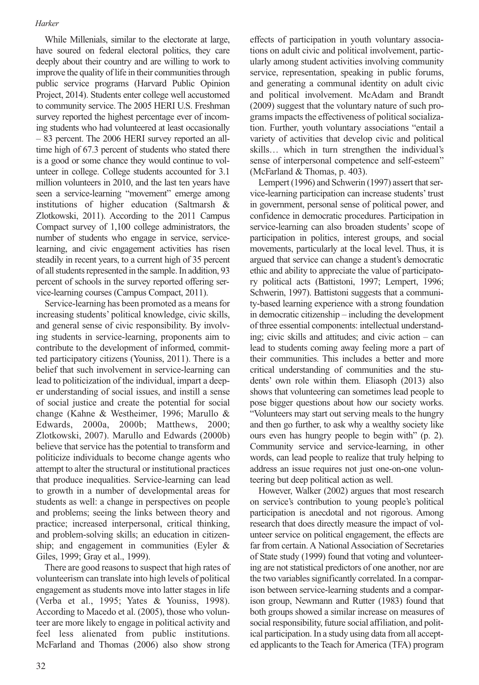While Millenials, similar to the electorate at large, have soured on federal electoral politics, they care deeply about their country and are willing to work to improve the quality of life in their communities through public service programs (Harvard Public Opinion Project, 2014). Students enter college well accustomed to community service. The 2005 HERI U.S. Freshman survey reported the highest percentage ever of incoming students who had volunteered at least occasionally – 83 percent. The 2006 HERI survey reported an alltime high of 67.3 percent of students who stated there is a good or some chance they would continue to volunteer in college. College students accounted for 3.1 million volunteers in 2010, and the last ten years have seen a service-learning "movement" emerge among institutions of higher education (Saltmarsh & Zlotkowski, 2011). According to the 2011 Campus Compact survey of 1,100 college administrators, the number of students who engage in service, servicelearning, and civic engagement activities has risen steadily in recent years, to a current high of 35 percent of all students represented in the sample. In addition, 93 percent of schools in the survey reported offering service-learning courses (Campus Compact, 2011).

Service-learning has been promoted as a means for increasing students' political knowledge, civic skills, and general sense of civic responsibility. By involving students in service-learning, proponents aim to contribute to the development of informed, committed participatory citizens (Youniss, 2011). There is a belief that such involvement in service-learning can lead to politicization of the individual, impart a deeper understanding of social issues, and instill a sense of social justice and create the potential for social change (Kahne & Westheimer, 1996; Marullo & Edwards, 2000a, 2000b; Matthews, 2000; Zlotkowski, 2007). Marullo and Edwards (2000b) believe that service has the potential to transform and politicize individuals to become change agents who attempt to alter the structural or institutional practices that produce inequalities. Service-learning can lead to growth in a number of developmental areas for students as well: a change in perspectives on people and problems; seeing the links between theory and practice; increased interpersonal, critical thinking, and problem-solving skills; an education in citizenship; and engagement in communities (Eyler & Giles, 1999; Gray et al., 1999).

There are good reasons to suspect that high rates of volunteerism can translate into high levels of political engagement as students move into latter stages in life (Verba et al., 1995; Yates & Youniss, 1998). According to Macedo et al. (2005), those who volunteer are more likely to engage in political activity and feel less alienated from public institutions. McFarland and Thomas (2006) also show strong

effects of participation in youth voluntary associations on adult civic and political involvement, particularly among student activities involving community service, representation, speaking in public forums, and generating a communal identity on adult civic and political involvement. McAdam and Brandt (2009) suggest that the voluntary nature of such programs impacts the effectiveness of political socialization. Further, youth voluntary associations "entail a variety of activities that develop civic and political skills… which in turn strengthen the individual's sense of interpersonal competence and self-esteem" (McFarland & Thomas, p. 403).

Lempert (1996) and Schwerin (1997) assert that service-learning participation can increase students'trust in government, personal sense of political power, and confidence in democratic procedures. Participation in service-learning can also broaden students' scope of participation in politics, interest groups, and social movements, particularly at the local level. Thus, it is argued that service can change a student's democratic ethic and ability to appreciate the value of participatory political acts (Battistoni, 1997; Lempert, 1996; Schwerin, 1997). Battistoni suggests that a community-based learning experience with a strong foundation in democratic citizenship – including the development of three essential components: intellectual understanding; civic skills and attitudes; and civic action – can lead to students coming away feeling more a part of their communities. This includes a better and more critical understanding of communities and the students' own role within them. Eliasoph (2013) also shows that volunteering can sometimes lead people to pose bigger questions about how our society works. "Volunteers may start out serving meals to the hungry and then go further, to ask why a wealthy society like ours even has hungry people to begin with" (p. 2). Community service and service-learning, in other words, can lead people to realize that truly helping to address an issue requires not just one-on-one volunteering but deep political action as well.

However, Walker (2002) argues that most research on service's contribution to young people's political participation is anecdotal and not rigorous. Among research that does directly measure the impact of volunteer service on political engagement, the effects are far from certain. A National Association of Secretaries of State study (1999) found that voting and volunteering are not statistical predictors of one another, nor are the two variables significantly correlated. In a comparison between service-learning students and a comparison group, Newmann and Rutter (1983) found that both groups showed a similar increase on measures of social responsibility, future social affiliation, and political participation. In a study using data from all accepted applicants to the Teach for America (TFA) program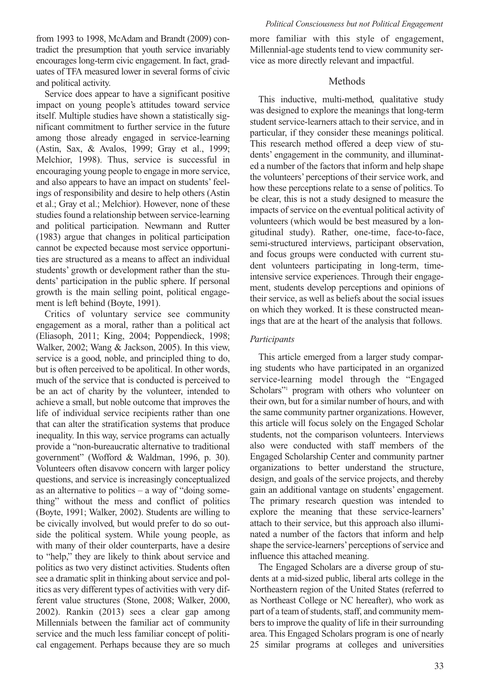from 1993 to 1998, McAdam and Brandt (2009) contradict the presumption that youth service invariably encourages long-term civic engagement. In fact, graduates of TFA measured lower in several forms of civic and political activity.

Service does appear to have a significant positive impact on young people's attitudes toward service itself. Multiple studies have shown a statistically significant commitment to further service in the future among those already engaged in service-learning (Astin, Sax, & Avalos, 1999; Gray et al., 1999; Melchior, 1998). Thus, service is successful in encouraging young people to engage in more service, and also appears to have an impact on students' feelings of responsibility and desire to help others (Astin et al.; Gray et al.; Melchior). However, none of these studies found a relationship between service-learning and political participation. Newmann and Rutter (1983) argue that changes in political participation cannot be expected because most service opportunities are structured as a means to affect an individual students' growth or development rather than the students' participation in the public sphere. If personal growth is the main selling point, political engagement is left behind (Boyte, 1991).

Critics of voluntary service see community engagement as a moral, rather than a political act (Eliasoph, 2011; King, 2004; Poppendieck, 1998; Walker, 2002; Wang & Jackson, 2005). In this view, service is a good, noble, and principled thing to do, but is often perceived to be apolitical. In other words, much of the service that is conducted is perceived to be an act of charity by the volunteer, intended to achieve a small, but noble outcome that improves the life of individual service recipients rather than one that can alter the stratification systems that produce inequality. In this way, service programs can actually provide a "non-bureaucratic alternative to traditional government" (Wofford & Waldman, 1996, p. 30). Volunteers often disavow concern with larger policy questions, and service is increasingly conceptualized as an alternative to politics  $-$  a way of "doing something" without the mess and conflict of politics (Boyte, 1991; Walker, 2002). Students are willing to be civically involved, but would prefer to do so outside the political system. While young people, as with many of their older counterparts, have a desire to "help," they are likely to think about service and politics as two very distinct activities. Students often see a dramatic split in thinking about service and politics as very different types of activities with very different value structures (Stone, 2008; Walker, 2000, 2002). Rankin (2013) sees a clear gap among Millennials between the familiar act of community service and the much less familiar concept of political engagement. Perhaps because they are so much more familiar with this style of engagement, Millennial-age students tend to view community service as more directly relevant and impactful.

## Methods

This inductive, multi-method, qualitative study was designed to explore the meanings that long-term student service-learners attach to their service, and in particular, if they consider these meanings political. This research method offered a deep view of students' engagement in the community, and illuminated a number of the factors that inform and help shape the volunteers' perceptions of their service work, and how these perceptions relate to a sense of politics. To be clear, this is not a study designed to measure the impacts of service on the eventual political activity of volunteers (which would be best measured by a longitudinal study). Rather, one-time, face-to-face, semi-structured interviews, participant observation, and focus groups were conducted with current student volunteers participating in long-term, timeintensive service experiences. Through their engagement, students develop perceptions and opinions of their service, as well as beliefs about the social issues on which they worked. It is these constructed meanings that are at the heart of the analysis that follows.

### *Participants*

This article emerged from a larger study comparing students who have participated in an organized service-learning model through the "Engaged Scholars"<sup>1</sup> program with others who volunteer on their own, but for a similar number of hours, and with the same community partner organizations. However, this article will focus solely on the Engaged Scholar students, not the comparison volunteers. Interviews also were conducted with staff members of the Engaged Scholarship Center and community partner organizations to better understand the structure, design, and goals of the service projects, and thereby gain an additional vantage on students' engagement. The primary research question was intended to explore the meaning that these service-learners' attach to their service, but this approach also illuminated a number of the factors that inform and help shape the service-learners' perceptions of service and influence this attached meaning.

The Engaged Scholars are a diverse group of students at a mid-sized public, liberal arts college in the Northeastern region of the United States (referred to as Northeast College or NC hereafter), who work as part of a team of students, staff, and community members to improve the quality of life in their surrounding area. This Engaged Scholars program is one of nearly 25 similar programs at colleges and universities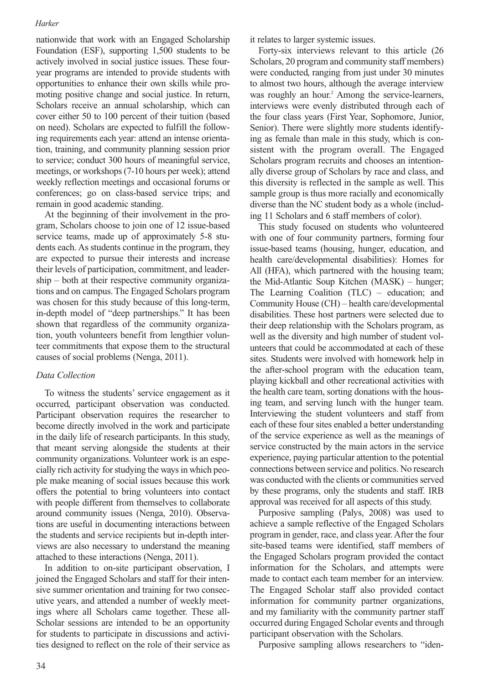nationwide that work with an Engaged Scholarship Foundation (ESF), supporting 1,500 students to be actively involved in social justice issues. These fouryear programs are intended to provide students with opportunities to enhance their own skills while promoting positive change and social justice. In return, Scholars receive an annual scholarship, which can cover either 50 to 100 percent of their tuition (based on need). Scholars are expected to fulfill the following requirements each year: attend an intense orientation, training, and community planning session prior to service; conduct 300 hours of meaningful service, meetings, or workshops(7-10 hours per week); attend weekly reflection meetings and occasional forums or conferences; go on class-based service trips; and remain in good academic standing.

At the beginning of their involvement in the program, Scholars choose to join one of 12 issue-based service teams, made up of approximately 5-8 students each. As students continue in the program, they are expected to pursue their interests and increase their levels of participation, commitment, and leadership – both at their respective community organizations and on campus.The Engaged Scholars program was chosen for this study because of this long-term, in-depth model of "deep partnerships." It has been shown that regardless of the community organization, youth volunteers benefit from lengthier volunteer commitments that expose them to the structural causes of social problems (Nenga, 2011).

#### *Data Collection*

To witness the students' service engagement as it occurred, participant observation was conducted. Participant observation requires the researcher to become directly involved in the work and participate in the daily life of research participants. In this study, that meant serving alongside the students at their community organizations. Volunteer work is an especially rich activity for studying the ways in which people make meaning of social issues because this work offers the potential to bring volunteers into contact with people different from themselves to collaborate around community issues (Nenga, 2010). Observations are useful in documenting interactions between the students and service recipients but in-depth interviews are also necessary to understand the meaning attached to these interactions (Nenga, 2011).

In addition to on-site participant observation, I joined the Engaged Scholars and staff for their intensive summer orientation and training for two consecutive years, and attended a number of weekly meetings where all Scholars came together. These all-Scholar sessions are intended to be an opportunity for students to participate in discussions and activities designed to reflect on the role of their service as it relates to larger systemic issues.

Forty-six interviews relevant to this article (26 Scholars, 20 program and community staff members) were conducted, ranging from just under 30 minutes to almost two hours, although the average interview was roughly an hour. <sup>2</sup> Among the service-learners, interviews were evenly distributed through each of the four class years (First Year, Sophomore, Junior, Senior). There were slightly more students identifying as female than male in this study, which is consistent with the program overall. The Engaged Scholars program recruits and chooses an intentionally diverse group of Scholars by race and class, and this diversity is reflected in the sample as well. This sample group is thus more racially and economically diverse than the NC student body as a whole (including 11 Scholars and 6 staff members of color).

This study focused on students who volunteered with one of four community partners, forming four issue-based teams (housing, hunger, education, and health care/developmental disabilities): Homes for All (HFA), which partnered with the housing team; the Mid-Atlantic Soup Kitchen (MASK) – hunger; The Learning Coalition (TLC) – education; and Community House (CH) – health care/developmental disabilities. These host partners were selected due to their deep relationship with the Scholars program, as well as the diversity and high number of student volunteers that could be accommodated at each of these sites. Students were involved with homework help in the after-school program with the education team, playing kickball and other recreational activities with the health care team, sorting donations with the housing team, and serving lunch with the hunger team. Interviewing the student volunteers and staff from each of these four sites enabled a better understanding of the service experience as well as the meanings of service constructed by the main actors in the service experience, paying particular attention to the potential connections between service and politics. No research was conducted with the clients or communities served by these programs, only the students and staff. IRB approval was received for all aspects of this study.

Purposive sampling (Palys, 2008) was used to achieve a sample reflective of the Engaged Scholars program in gender, race, and class year.After the four site-based teams were identified, staff members of the Engaged Scholars program provided the contact information for the Scholars, and attempts were made to contact each team member for an interview. The Engaged Scholar staff also provided contact information for community partner organizations, and my familiarity with the community partner staff occurred during Engaged Scholar events and through participant observation with the Scholars.

Purposive sampling allows researchers to "iden-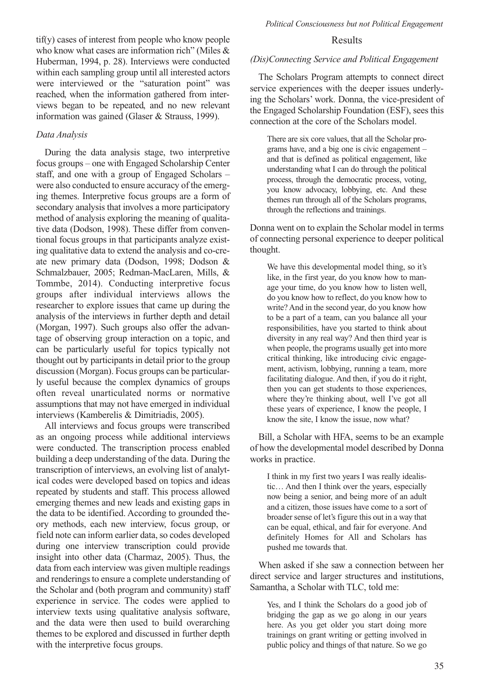tif(y) cases of interest from people who know people who know what cases are information rich" (Miles & Huberman, 1994, p. 28). Interviews were conducted within each sampling group until all interested actors were interviewed or the "saturation point" was reached, when the information gathered from interviews began to be repeated, and no new relevant information was gained (Glaser & Strauss, 1999).

#### *Data Analysis*

During the data analysis stage, two interpretive focus groups – one with Engaged Scholarship Center staff, and one with a group of Engaged Scholars – were also conducted to ensure accuracy of the emerging themes. Interpretive focus groups are a form of secondary analysis that involves a more participatory method of analysis exploring the meaning of qualitative data (Dodson, 1998). These differ from conventional focus groups in that participants analyze existing qualitative data to extend the analysis and co-create new primary data (Dodson, 1998; Dodson & Schmalzbauer, 2005; Redman-MacLaren, Mills, & Tommbe, 2014). Conducting interpretive focus groups after individual interviews allows the researcher to explore issues that came up during the analysis of the interviews in further depth and detail (Morgan, 1997). Such groups also offer the advantage of observing group interaction on a topic, and can be particularly useful for topics typically not thought out by participants in detail prior to the group discussion (Morgan). Focus groups can be particularly useful because the complex dynamics of groups often reveal unarticulated norms or normative assumptions that may not have emerged in individual interviews (Kamberelis & Dimitriadis, 2005).

All interviews and focus groups were transcribed as an ongoing process while additional interviews were conducted. The transcription process enabled building a deep understanding of the data. During the transcription of interviews, an evolving list of analytical codes were developed based on topics and ideas repeated by students and staff. This process allowed emerging themes and new leads and existing gaps in the data to be identified. According to grounded theory methods, each new interview, focus group, or field note can inform earlier data, so codes developed during one interview transcription could provide insight into other data (Charmaz, 2005). Thus, the data from each interview was given multiple readings and renderings to ensure a complete understanding of the Scholar and (both program and community) staff experience in service. The codes were applied to interview texts using qualitative analysis software, and the data were then used to build overarching themes to be explored and discussed in further depth with the interpretive focus groups.

#### Results

### *(Dis)Connecting Service and Political Engagement*

The Scholars Program attempts to connect direct service experiences with the deeper issues underlying the Scholars' work. Donna, the vice-president of the Engaged Scholarship Foundation (ESF), sees this connection at the core of the Scholars model.

There are six core values, that all the Scholar programs have, and a big one is civic engagement – and that is defined as political engagement, like understanding what I can do through the political process, through the democratic process, voting, you know advocacy, lobbying, etc. And these themes run through all of the Scholars programs, through the reflections and trainings.

Donna went on to explain the Scholar model in terms of connecting personal experience to deeper political thought.

We have this developmental model thing, so it's like, in the first year, do you know how to manage your time, do you know how to listen well, do you know how to reflect, do you know how to write? And in the second year, do you know how to be a part of a team, can you balance all your responsibilities, have you started to think about diversity in any real way? And then third year is when people, the programs usually get into more critical thinking, like introducing civic engagement, activism, lobbying, running a team, more facilitating dialogue. And then, if you do it right, then you can get students to those experiences, where they're thinking about, well I've got all these years of experience, I know the people, I know the site, I know the issue, now what?

Bill, a Scholar with HFA, seems to be an example of how the developmental model described by Donna works in practice.

I think in my first two years I was really idealistic… And then I think over the years, especially now being a senior, and being more of an adult and a citizen, those issues have come to a sort of broader sense of let's figure this out in a way that can be equal, ethical, and fair for everyone. And definitely Homes for All and Scholars has pushed me towards that.

When asked if she saw a connection between her direct service and larger structures and institutions, Samantha, a Scholar with TLC, told me:

Yes, and I think the Scholars do a good job of bridging the gap as we go along in our years here. As you get older you start doing more trainings on grant writing or getting involved in public policy and things of that nature. So we go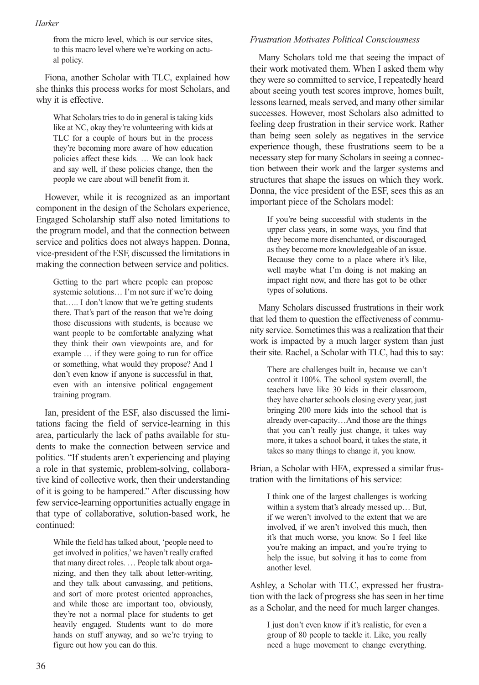from the micro level, which is our service sites, to this macro level where we're working on actual policy.

Fiona, another Scholar with TLC, explained how she thinks this process works for most Scholars, and why it is effective.

What Scholars tries to do in general is taking kids like at NC, okay they're volunteering with kids at TLC for a couple of hours but in the process they're becoming more aware of how education policies affect these kids. … We can look back and say well, if these policies change, then the people we care about will benefit from it.

However, while it is recognized as an important component in the design of the Scholars experience, Engaged Scholarship staff also noted limitations to the program model, and that the connection between service and politics does not always happen. Donna, vice-president of the ESF, discussed the limitations in making the connection between service and politics.

Getting to the part where people can propose systemic solutions… I'm not sure if we're doing that….. I don't know that we're getting students there. That's part of the reason that we're doing those discussions with students, is because we want people to be comfortable analyzing what they think their own viewpoints are, and for example … if they were going to run for office or something, what would they propose? And I don't even know if anyone is successful in that, even with an intensive political engagement training program.

Ian, president of the ESF, also discussed the limitations facing the field of service-learning in this area, particularly the lack of paths available for students to make the connection between service and politics. "If students aren't experiencing and playing a role in that systemic, problem-solving, collaborative kind of collective work, then their understanding of it is going to be hampered." After discussing how few service-learning opportunities actually engage in that type of collaborative, solution-based work, he continued:

While the field has talked about, 'people need to get involved in politics,'we haven't really crafted that many direct roles. … People talk about organizing, and then they talk about letter-writing, and they talk about canvassing, and petitions, and sort of more protest oriented approaches, and while those are important too, obviously, they're not a normal place for students to get heavily engaged. Students want to do more hands on stuff anyway, and so we're trying to figure out how you can do this.

#### *Frustration Motivates Political Consciousness*

Many Scholars told me that seeing the impact of their work motivated them. When I asked them why they were so committed to service, I repeatedly heard about seeing youth test scores improve, homes built, lessons learned, meals served, and many other similar successes. However, most Scholars also admitted to feeling deep frustration in their service work. Rather than being seen solely as negatives in the service experience though, these frustrations seem to be a necessary step for many Scholars in seeing a connection between their work and the larger systems and structures that shape the issues on which they work. Donna, the vice president of the ESF, sees this as an important piece of the Scholars model:

If you're being successful with students in the upper class years, in some ways, you find that they become more disenchanted, or discouraged, as they become more knowledgeable of an issue. Because they come to a place where it's like, well maybe what I'm doing is not making an impact right now, and there has got to be other types of solutions.

Many Scholars discussed frustrations in their work that led them to question the effectiveness of community service. Sometimes this was a realization that their work is impacted by a much larger system than just their site. Rachel, a Scholar with TLC, had this to say:

There are challenges built in, because we can't control it 100%. The school system overall, the teachers have like 30 kids in their classroom, they have charter schools closing every year, just bringing 200 more kids into the school that is already over-capacity…And those are the things that you can't really just change, it takes way more, it takes a school board, it takes the state, it takes so many things to change it, you know.

Brian, a Scholar with HFA, expressed a similar frustration with the limitations of his service:

I think one of the largest challenges is working within a system that's already messed up… But, if we weren't involved to the extent that we are involved, if we aren't involved this much, then it's that much worse, you know. So I feel like you're making an impact, and you're trying to help the issue, but solving it has to come from another level.

Ashley, a Scholar with TLC, expressed her frustration with the lack of progress she has seen in her time as a Scholar, and the need for much larger changes.

I just don't even know if it's realistic, for even a group of 80 people to tackle it. Like, you really need a huge movement to change everything.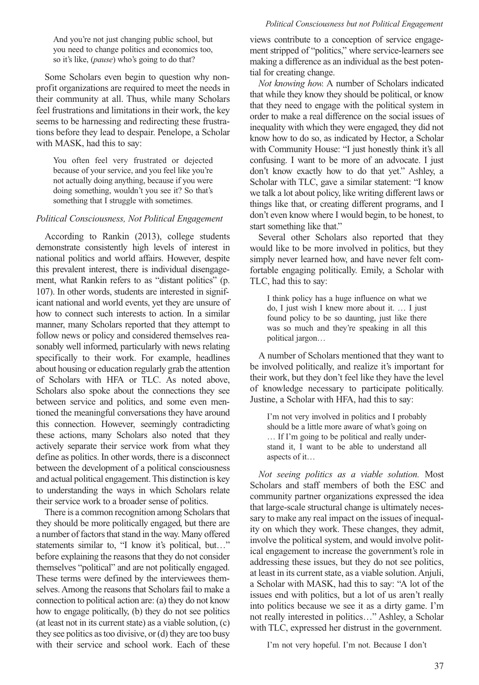And you're not just changing public school, but you need to change politics and economics too, so it's like, (*pause*) who's going to do that?

Some Scholars even begin to question why nonprofit organizations are required to meet the needs in their community at all. Thus, while many Scholars feel frustrations and limitations in their work, the key seems to be harnessing and redirecting these frustrations before they lead to despair. Penelope, a Scholar with MASK, had this to say:

You often feel very frustrated or dejected because of your service, and you feel like you're not actually doing anything, because if you were doing something, wouldn't you see it? So that's something that I struggle with sometimes.

#### *Political Consciousness, Not Political Engagement*

According to Rankin (2013), college students demonstrate consistently high levels of interest in national politics and world affairs. However, despite this prevalent interest, there is individual disengagement, what Rankin refers to as "distant politics" (p. 107). In other words, students are interested in significant national and world events, yet they are unsure of how to connect such interests to action. In a similar manner, many Scholars reported that they attempt to follow news or policy and considered themselves reasonably well informed, particularly with news relating specifically to their work. For example, headlines about housing or education regularly grab the attention of Scholars with HFA or TLC. As noted above, Scholars also spoke about the connections they see between service and politics, and some even mentioned the meaningful conversations they have around this connection. However, seemingly contradicting these actions, many Scholars also noted that they actively separate their service work from what they define as politics. In other words, there is a disconnect between the development of a political consciousness and actual political engagement.This distinction is key to understanding the ways in which Scholars relate their service work to a broader sense of politics.

There is a common recognition among Scholars that they should be more politically engaged, but there are a number of factors that stand in the way. Many offered statements similar to, "I know it's political, but..." before explaining the reasons that they do not consider themselves "political" and are not politically engaged. These terms were defined by the interviewees themselves.Among the reasons that Scholars fail to make a connection to political action are: (a) they do not know how to engage politically, (b) they do not see politics (at least not in its current state) as a viable solution, (c) they see politics as too divisive, or  $(d)$  they are too busy with their service and school work. Each of these

views contribute to a conception of service engagement stripped of "politics," where service-learners see making a difference as an individual as the best potential for creating change.

*Not knowing how.* A number of Scholars indicated that while they know they should be political, or know that they need to engage with the political system in order to make a real difference on the social issues of inequality with which they were engaged, they did not know how to do so, as indicated by Hector, a Scholar with Community House: "I just honestly think it's all confusing. I want to be more of an advocate. I just don't know exactly how to do that yet." Ashley, a Scholar with TLC, gave a similar statement: "I know we talk a lot about policy, like writing different laws or things like that, or creating different programs, and I don't even know where I would begin, to be honest, to start something like that."

Several other Scholars also reported that they would like to be more involved in politics, but they simply never learned how, and have never felt comfortable engaging politically. Emily, a Scholar with TLC, had this to say:

I think policy has a huge influence on what we do, I just wish I knew more about it. … I just found policy to be so daunting, just like there was so much and they're speaking in all this political jargon…

A number of Scholars mentioned that they want to be involved politically, and realize it's important for their work, but they don't feel like they have the level of knowledge necessary to participate politically. Justine, a Scholar with HFA, had this to say:

I'm not very involved in politics and I probably should be a little more aware of what's going on … If I'm going to be political and really understand it, I want to be able to understand all aspects of it…

*Not seeing politics as a viable solution.* Most Scholars and staff members of both the ESC and community partner organizations expressed the idea that large-scale structural change is ultimately necessary to make any real impact on the issues of inequality on which they work. These changes, they admit, involve the political system, and would involve political engagement to increase the government's role in addressing these issues, but they do not see politics, at least in its current state, as a viable solution. Anjuli, a Scholar with MASK, had this to say: "A lot of the issues end with politics, but a lot of us aren't really into politics because we see it as a dirty game. I'm not really interested in politics…" Ashley, a Scholar with TLC, expressed her distrust in the government.

I'm not very hopeful. I'm not. Because I don't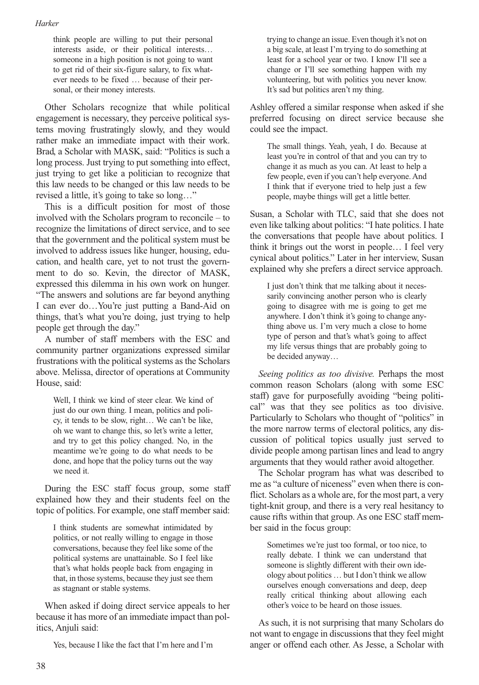think people are willing to put their personal interests aside, or their political interests… someone in a high position is not going to want to get rid of their six-figure salary, to fix whatever needs to be fixed … because of their personal, or their money interests.

Other Scholars recognize that while political engagement is necessary, they perceive political systems moving frustratingly slowly, and they would rather make an immediate impact with their work. Brad, a Scholar with MASK, said: "Politics is such a long process. Just trying to put something into effect, just trying to get like a politician to recognize that this law needs to be changed or this law needs to be revised a little, it's going to take so long…"

This is a difficult position for most of those involved with the Scholars program to reconcile – to recognize the limitations of direct service, and to see that the government and the political system must be involved to address issues like hunger, housing, education, and health care, yet to not trust the government to do so. Kevin, the director of MASK, expressed this dilemma in his own work on hunger. "The answers and solutions are far beyond anything I can ever do…You're just putting a Band-Aid on things, that's what you're doing, just trying to help people get through the day."

A number of staff members with the ESC and community partner organizations expressed similar frustrations with the political systems as the Scholars above. Melissa, director of operations at Community House, said:

Well, I think we kind of steer clear. We kind of just do our own thing. I mean, politics and policy, it tends to be slow, right… We can't be like, oh we want to change this, so let's write a letter, and try to get this policy changed. No, in the meantime we're going to do what needs to be done, and hope that the policy turns out the way we need it.

During the ESC staff focus group, some staff explained how they and their students feel on the topic of politics. For example, one staff member said:

I think students are somewhat intimidated by politics, or not really willing to engage in those conversations, because they feel like some of the political systems are unattainable. So I feel like that's what holds people back from engaging in that, in those systems, because they just see them as stagnant or stable systems.

When asked if doing direct service appeals to her because it has more of an immediate impact than politics, Anjuli said:

Yes, because I like the fact that I'm here and I'm

trying to change an issue. Even though it's not on a big scale, at least I'm trying to do something at least for a school year or two. I know I'll see a change or I'll see something happen with my volunteering, but with politics you never know. It's sad but politics aren't my thing.

Ashley offered a similar response when asked if she preferred focusing on direct service because she could see the impact.

The small things. Yeah, yeah, I do. Because at least you're in control of that and you can try to change it as much as you can. At least to help a few people, even if you can't help everyone.And I think that if everyone tried to help just a few people, maybe things will get a little better.

Susan, a Scholar with TLC, said that she does not even like talking about politics: "I hate politics. I hate the conversations that people have about politics. I think it brings out the worst in people… I feel very cynical about politics." Later in her interview, Susan explained why she prefers a direct service approach.

I just don't think that me talking about it necessarily convincing another person who is clearly going to disagree with me is going to get me anywhere. I don't think it's going to change anything above us. I'm very much a close to home type of person and that's what's going to affect my life versus things that are probably going to be decided anyway…

*Seeing politics as too divisive.* Perhaps the most common reason Scholars (along with some ESC staff) gave for purposefully avoiding "being political" was that they see politics as too divisive. Particularly to Scholars who thought of "politics" in the more narrow terms of electoral politics, any discussion of political topics usually just served to divide people among partisan lines and lead to angry arguments that they would rather avoid altogether.

The Scholar program has what was described to me as "a culture of niceness" even when there is conflict. Scholars as a whole are, for the most part, a very tight-knit group, and there is a very real hesitancy to cause rifts within that group. As one ESC staff member said in the focus group:

Sometimes we're just too formal, or too nice, to really debate. I think we can understand that someone is slightly different with their own ideology about politics … but I don't think we allow ourselves enough conversations and deep, deep really critical thinking about allowing each other's voice to be heard on those issues.

As such, it is not surprising that many Scholars do not want to engage in discussions that they feel might anger or offend each other. As Jesse, a Scholar with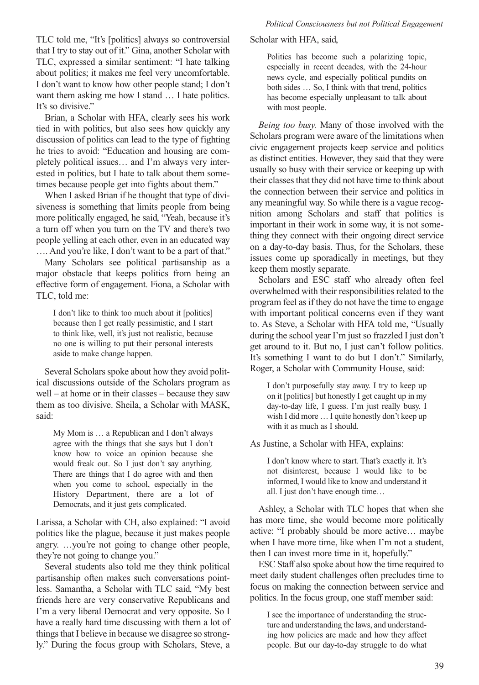TLC told me, "It's [politics] always so controversial that I try to stay out of it." Gina, another Scholar with TLC, expressed a similar sentiment: "I hate talking about politics; it makes me feel very uncomfortable. I don't want to know how other people stand; I don't want them asking me how I stand  $\ldots$  I hate politics. It's so divisive."

Brian, a Scholar with HFA, clearly sees his work tied in with politics, but also sees how quickly any discussion of politics can lead to the type of fighting he tries to avoid: "Education and housing are completely political issues… and I'm always very interested in politics, but I hate to talk about them sometimes because people get into fights about them."

When I asked Brian if he thought that type of divisiveness is something that limits people from being more politically engaged, he said, "Yeah, because it's a turn off when you turn on the TV and there's two people yelling at each other, even in an educated way …. And you're like, I don't want to be a part of that."

Many Scholars see political partisanship as a major obstacle that keeps politics from being an effective form of engagement. Fiona, a Scholar with TLC, told me:

I don't like to think too much about it [politics] because then I get really pessimistic, and I start to think like, well, it's just not realistic, because no one is willing to put their personal interests aside to make change happen.

Several Scholars spoke about how they avoid political discussions outside of the Scholars program as well – at home or in their classes – because they saw them as too divisive. Sheila, a Scholar with MASK, said:

My Mom is … a Republican and I don't always agree with the things that she says but I don't know how to voice an opinion because she would freak out. So I just don't say anything. There are things that I do agree with and then when you come to school, especially in the History Department, there are a lot of Democrats, and it just gets complicated.

Larissa, a Scholar with CH, also explained: "I avoid politics like the plague, because it just makes people angry. …you're not going to change other people, they're not going to change you."

Several students also told me they think political partisanship often makes such conversations pointless. Samantha, a Scholar with TLC said, "My best friends here are very conservative Republicans and I'm a very liberal Democrat and very opposite. So I have a really hard time discussing with them a lot of things that I believe in because we disagree so strongly." During the focus group with Scholars, Steve, a

#### Scholar with HFA, said,

Politics has become such a polarizing topic, especially in recent decades, with the 24-hour news cycle, and especially political pundits on both sides … So, I think with that trend, politics has become especially unpleasant to talk about with most people.

*Being too busy.* Many of those involved with the Scholars program were aware of the limitations when civic engagement projects keep service and politics as distinct entities. However, they said that they were usually so busy with their service or keeping up with their classes that they did not have time to think about the connection between their service and politics in any meaningful way. So while there is a vague recognition among Scholars and staff that politics is important in their work in some way, it is not something they connect with their ongoing direct service on a day-to-day basis. Thus, for the Scholars, these issues come up sporadically in meetings, but they keep them mostly separate.

Scholars and ESC staff who already often feel overwhelmed with their responsibilities related to the program feel asif they do not have the time to engage with important political concerns even if they want to. As Steve, a Scholar with HFA told me, "Usually during the school year I'm just so frazzled I just don't get around to it. But no, I just can't follow politics. It's something I want to do but I don't." Similarly, Roger, a Scholar with Community House, said:

I don't purposefully stay away. I try to keep up on it [politics] but honestly I get caught up in my day-to-day life, I guess. I'm just really busy. I wish I did more … I quite honestly don't keep up with it as much as I should.

As Justine, a Scholar with HFA, explains:

I don't know where to start. That's exactly it. It's not disinterest, because I would like to be informed, I would like to know and understand it all. I just don't have enough time…

Ashley, a Scholar with TLC hopes that when she has more time, she would become more politically active: "I probably should be more active… maybe when I have more time, like when I'm not a student, then I can invest more time in it, hopefully."

ESC Staff also spoke about how the time required to meet daily student challenges often precludes time to focus on making the connection between service and politics. In the focus group, one staff member said:

I see the importance of understanding the structure and understanding the laws, and understanding how policies are made and how they affect people. But our day-to-day struggle to do what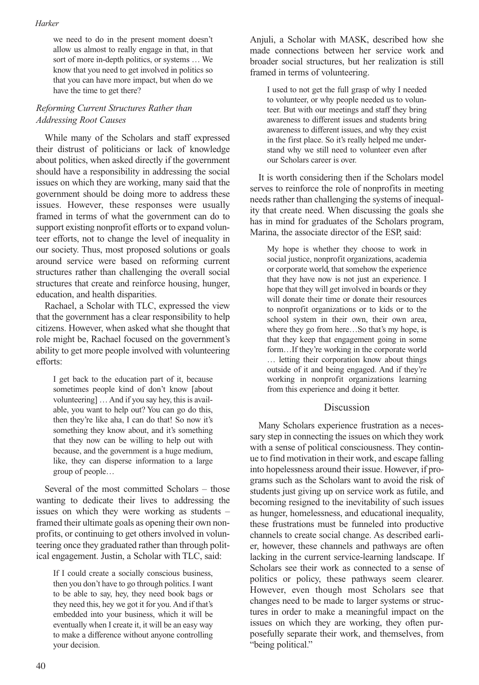we need to do in the present moment doesn't allow us almost to really engage in that, in that sort of more in-depth politics, or systems … We know that you need to get involved in politics so that you can have more impact, but when do we have the time to get there?

## *Reforming Current Structures Rather than Addressing Root Causes*

While many of the Scholars and staff expressed their distrust of politicians or lack of knowledge about politics, when asked directly if the government should have a responsibility in addressing the social issues on which they are working, many said that the government should be doing more to address these issues. However, these responses were usually framed in terms of what the government can do to support existing nonprofit efforts or to expand volunteer efforts, not to change the level of inequality in our society. Thus, most proposed solutions or goals around service were based on reforming current structures rather than challenging the overall social structures that create and reinforce housing, hunger, education, and health disparities.

Rachael, a Scholar with TLC, expressed the view that the government has a clear responsibility to help citizens. However, when asked what she thought that role might be, Rachael focused on the government's ability to get more people involved with volunteering efforts:

I get back to the education part of it, because sometimes people kind of don't know [about volunteering] …And if you say hey, this is available, you want to help out? You can go do this, then they're like aha, I can do that! So now it's something they know about, and it's something that they now can be willing to help out with because, and the government is a huge medium, like, they can disperse information to a large group of people…

Several of the most committed Scholars – those wanting to dedicate their lives to addressing the issues on which they were working as students – framed their ultimate goals as opening their own nonprofits, or continuing to get others involved in volunteering once they graduated rather than through political engagement. Justin, a Scholar with TLC, said:

If I could create a socially conscious business, then you don't have to go through politics. I want to be able to say, hey, they need book bags or they need this, hey we got it for you.And if that's embedded into your business, which it will be eventually when I create it, it will be an easy way to make a difference without anyone controlling your decision.

Anjuli, a Scholar with MASK, described how she made connections between her service work and broader social structures, but her realization is still framed in terms of volunteering.

I used to not get the full grasp of why I needed to volunteer, or why people needed us to volunteer. But with our meetings and staff they bring awareness to different issues and students bring awareness to different issues, and why they exist in the first place. So it's really helped me understand why we still need to volunteer even after our Scholars career is over.

It is worth considering then if the Scholars model serves to reinforce the role of nonprofits in meeting needs rather than challenging the systems of inequality that create need. When discussing the goals she has in mind for graduates of the Scholars program, Marina, the associate director of the ESP, said:

My hope is whether they choose to work in social justice, nonprofit organizations, academia or corporate world, that somehow the experience that they have now is not just an experience. I hope that they will get involved in boards or they will donate their time or donate their resources to nonprofit organizations or to kids or to the school system in their own, their own area, where they go from here…So that's my hope, is that they keep that engagement going in some form…If they're working in the corporate world … letting their corporation know about things outside of it and being engaged. And if they're working in nonprofit organizations learning from this experience and doing it better.

## Discussion

Many Scholars experience frustration as a necessary step in connecting the issues on which they work with a sense of political consciousness. They continue to find motivation in their work, and escape falling into hopelessness around their issue. However, if programs such as the Scholars want to avoid the risk of students just giving up on service work as futile, and becoming resigned to the inevitability of such issues as hunger, homelessness, and educational inequality, these frustrations must be funneled into productive channels to create social change. As described earlier, however, these channels and pathways are often lacking in the current service-learning landscape. If Scholars see their work as connected to a sense of politics or policy, these pathways seem clearer. However, even though most Scholars see that changes need to be made to larger systems or structures in order to make a meaningful impact on the issues on which they are working, they often purposefully separate their work, and themselves, from "being political."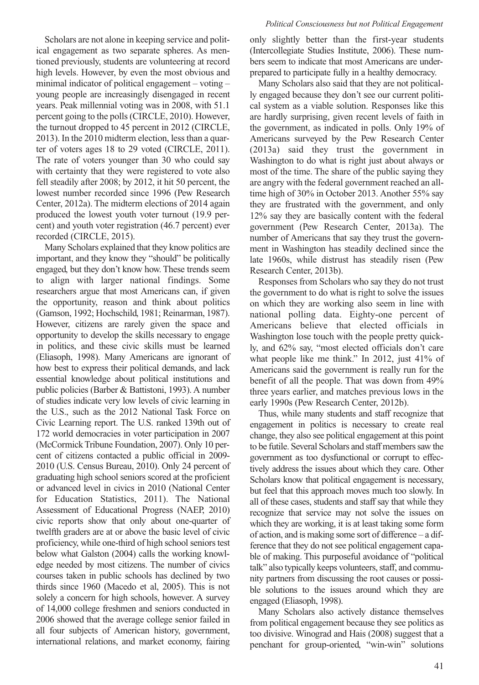Scholars are not alone in keeping service and political engagement as two separate spheres. As mentioned previously, students are volunteering at record high levels. However, by even the most obvious and minimal indicator of political engagement – voting – young people are increasingly disengaged in recent years. Peak millennial voting was in 2008, with 51.1 percent going to the polls(CIRCLE, 2010). However, the turnout dropped to 45 percent in 2012 (CIRCLE, 2013). In the 2010 midterm election, less than a quarter of voters ages 18 to 29 voted (CIRCLE, 2011). The rate of voters younger than 30 who could say with certainty that they were registered to vote also fell steadily after 2008; by 2012, it hit 50 percent, the lowest number recorded since 1996 (Pew Research Center, 2012a). The midterm elections of 2014 again produced the lowest youth voter turnout (19.9 percent) and youth voter registration (46.7 percent) ever recorded (CIRCLE, 2015).

Many Scholars explained that they know politics are important, and they know they "should" be politically engaged, but they don't know how. These trends seem to align with larger national findings. Some researchers argue that most Americans can, if given the opportunity, reason and think about politics (Gamson, 1992; Hochschild, 1981; Reinarman, 1987). However, citizens are rarely given the space and opportunity to develop the skills necessary to engage in politics, and these civic skills must be learned (Eliasoph, 1998). Many Americans are ignorant of how best to express their political demands, and lack essential knowledge about political institutions and public policies (Barber & Battistoni, 1993). A number of studies indicate very low levels of civic learning in the U.S., such as the 2012 National Task Force on Civic Learning report. The U.S. ranked 139th out of 172 world democracies in voter participation in 2007 (McCormick Tribune Foundation, 2007). Only 10 percent of citizens contacted a public official in 2009- 2010 (U.S. Census Bureau, 2010). Only 24 percent of graduating high school seniors scored at the proficient or advanced level in civics in 2010 (National Center for Education Statistics, 2011). The National Assessment of Educational Progress (NAEP, 2010) civic reports show that only about one-quarter of twelfth graders are at or above the basic level of civic proficiency, while one-third of high school seniors test below what Galston (2004) calls the working knowledge needed by most citizens. The number of civics courses taken in public schools has declined by two thirds since 1960 (Macedo et al, 2005). This is not solely a concern for high schools, however. A survey of 14,000 college freshmen and seniors conducted in 2006 showed that the average college senior failed in all four subjects of American history, government, international relations, and market economy, fairing

only slightly better than the first-year students (Intercollegiate Studies Institute, 2006). These numbers seem to indicate that most Americans are underprepared to participate fully in a healthy democracy.

Many Scholars also said that they are not politically engaged because they don't see our current political system as a viable solution. Responses like this are hardly surprising, given recent levels of faith in the government, as indicated in polls. Only 19% of Americans surveyed by the Pew Research Center (2013a) said they trust the government in Washington to do what is right just about always or most of the time. The share of the public saying they are angry with the federal government reached an alltime high of 30% in October 2013. Another 55% say they are frustrated with the government, and only 12% say they are basically content with the federal government (Pew Research Center, 2013a). The number of Americans that say they trust the government in Washington has steadily declined since the late 1960s, while distrust has steadily risen (Pew Research Center, 2013b).

Responses from Scholars who say they do not trust the government to do what is right to solve the issues on which they are working also seem in line with national polling data. Eighty-one percent of Americans believe that elected officials in Washington lose touch with the people pretty quickly, and 62% say, "most elected officials don't care what people like me think." In 2012, just 41% of Americans said the government is really run for the benefit of all the people. That was down from 49% three years earlier, and matches previous lows in the early 1990s (Pew Research Center, 2012b).

Thus, while many students and staff recognize that engagement in politics is necessary to create real change, they also see political engagement at this point to be futile. Several Scholars and staff members saw the government as too dysfunctional or corrupt to effectively address the issues about which they care. Other Scholars know that political engagement is necessary, but feel that this approach moves much too slowly. In all of these cases, students and staff say that while they recognize that service may not solve the issues on which they are working, it is at least taking some form of action, and is making some sort of difference – a difference that they do not see political engagement capable of making. This purposeful avoidance of "political talk" also typically keeps volunteers, staff, and community partners from discussing the root causes or possible solutions to the issues around which they are engaged (Eliasoph, 1998).

Many Scholars also actively distance themselves from political engagement because they see politics as too divisive. Winograd and Hais (2008) suggest that a penchant for group-oriented, "win-win" solutions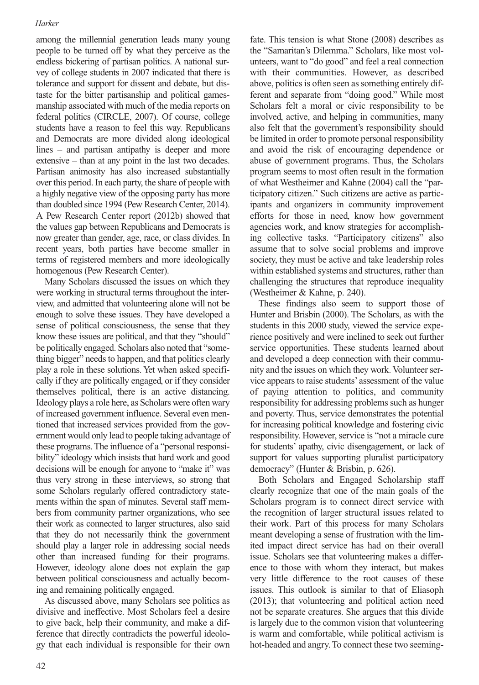among the millennial generation leads many young people to be turned off by what they perceive as the endless bickering of partisan politics. A national survey of college students in 2007 indicated that there is tolerance and support for dissent and debate, but distaste for the bitter partisanship and political gamesmanship associated with much of the media reports on federal politics (CIRCLE, 2007). Of course, college students have a reason to feel this way. Republicans and Democrats are more divided along ideological lines – and partisan antipathy is deeper and more extensive – than at any point in the last two decades. Partisan animosity has also increased substantially over this period. In each party, the share of people with a highly negative view of the opposing party has more than doubled since 1994 (Pew Research Center, 2014). A Pew Research Center report (2012b) showed that the values gap between Republicans and Democrats is now greater than gender, age, race, or class divides. In recent years, both parties have become smaller in terms of registered members and more ideologically homogenous (Pew Research Center).

Many Scholars discussed the issues on which they were working in structural terms throughout the interview, and admitted that volunteering alone will not be enough to solve these issues. They have developed a sense of political consciousness, the sense that they know these issues are political, and that they "should" be politically engaged. Scholars also noted that "something bigger" needs to happen, and that politics clearly play a role in these solutions. Yet when asked specifically if they are politically engaged, or if they consider themselves political, there is an active distancing. Ideology plays a role here, as Scholars were often wary of increased government influence. Several even mentioned that increased services provided from the government would only lead to people taking advantage of these programs.The influence of a "personal responsibility" ideology which insists that hard work and good decisions will be enough for anyone to "make it" was thus very strong in these interviews, so strong that some Scholars regularly offered contradictory statements within the span of minutes. Several staff members from community partner organizations, who see their work as connected to larger structures, also said that they do not necessarily think the government should play a larger role in addressing social needs other than increased funding for their programs. However, ideology alone does not explain the gap between political consciousness and actually becoming and remaining politically engaged.

As discussed above, many Scholars see politics as divisive and ineffective. Most Scholars feel a desire to give back, help their community, and make a difference that directly contradicts the powerful ideology that each individual is responsible for their own

fate. This tension is what Stone (2008) describes as the "Samaritan's Dilemma." Scholars, like most volunteers, want to "do good" and feel a real connection with their communities. However, as described above, politics is often seen as something entirely different and separate from "doing good." While most Scholars felt a moral or civic responsibility to be involved, active, and helping in communities, many also felt that the government's responsibility should be limited in order to promote personal responsibility and avoid the risk of encouraging dependence or abuse of government programs. Thus, the Scholars program seems to most often result in the formation of what Westheimer and Kahne (2004) call the "participatory citizen." Such citizens are active as participants and organizers in community improvement efforts for those in need, know how government agencies work, and know strategies for accomplishing collective tasks. "Participatory citizens" also assume that to solve social problems and improve society, they must be active and take leadership roles within established systems and structures, rather than challenging the structures that reproduce inequality (Westheimer & Kahne, p. 240).

These findings also seem to support those of Hunter and Brisbin (2000). The Scholars, as with the students in this 2000 study, viewed the service experience positively and were inclined to seek out further service opportunities. These students learned about and developed a deep connection with their community and the issues on which they work. Volunteer service appears to raise students' assessment of the value of paying attention to politics, and community responsibility for addressing problems such as hunger and poverty. Thus, service demonstrates the potential for increasing political knowledge and fostering civic responsibility. However, service is "not a miracle cure for students' apathy, civic disengagement, or lack of support for values supporting pluralist participatory democracy" (Hunter & Brisbin, p. 626).

Both Scholars and Engaged Scholarship staff clearly recognize that one of the main goals of the Scholars program is to connect direct service with the recognition of larger structural issues related to their work. Part of this process for many Scholars meant developing a sense of frustration with the limited impact direct service has had on their overall issue. Scholars see that volunteering makes a difference to those with whom they interact, but makes very little difference to the root causes of these issues. This outlook is similar to that of Eliasoph (2013); that volunteering and political action need not be separate creatures. She argues that this divide is largely due to the common vision that volunteering is warm and comfortable, while political activism is hot-headed and angry.To connect these two seeming-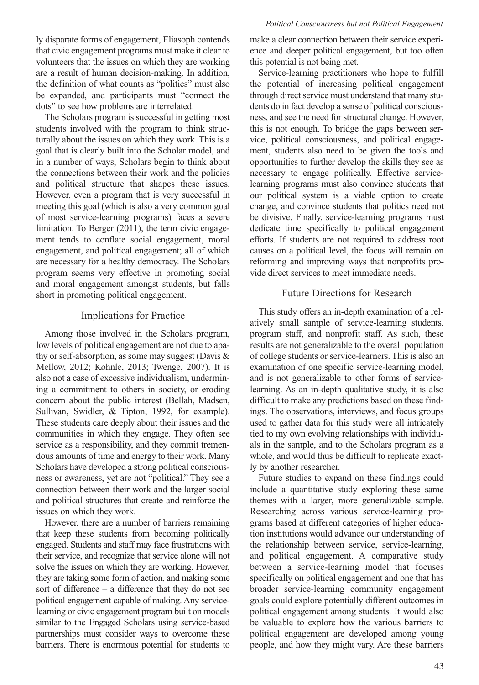ly disparate forms of engagement, Eliasoph contends that civic engagement programs must make it clear to volunteers that the issues on which they are working are a result of human decision-making. In addition, the definition of what counts as "politics" must also be expanded, and participants must "connect the dots" to see how problems are interrelated.

The Scholars program is successful in getting most students involved with the program to think structurally about the issues on which they work. This is a goal that is clearly built into the Scholar model, and in a number of ways, Scholars begin to think about the connections between their work and the policies and political structure that shapes these issues. However, even a program that is very successful in meeting this goal (which is also a very common goal of most service-learning programs) faces a severe limitation. To Berger (2011), the term civic engagement tends to conflate social engagement, moral engagement, and political engagement; all of which are necessary for a healthy democracy. The Scholars program seems very effective in promoting social and moral engagement amongst students, but falls short in promoting political engagement.

## Implications for Practice

Among those involved in the Scholars program, low levels of political engagement are not due to apathy or self-absorption, as some may suggest (Davis  $\&$ Mellow, 2012; Kohnle, 2013; Twenge, 2007). It is also not a case of excessive individualism, undermining a commitment to others in society, or eroding concern about the public interest (Bellah, Madsen, Sullivan, Swidler, & Tipton, 1992, for example). These students care deeply about their issues and the communities in which they engage. They often see service as a responsibility, and they commit tremendous amounts of time and energy to their work. Many Scholars have developed a strong political consciousness or awareness, yet are not "political." They see a connection between their work and the larger social and political structures that create and reinforce the issues on which they work.

However, there are a number of barriers remaining that keep these students from becoming politically engaged. Students and staff may face frustrations with their service, and recognize that service alone will not solve the issues on which they are working. However, they are taking some form of action, and making some sort of difference – a difference that they do not see political engagement capable of making. Any servicelearning or civic engagement program built on models similar to the Engaged Scholars using service-based partnerships must consider ways to overcome these barriers. There is enormous potential for students to make a clear connection between their service experience and deeper political engagement, but too often this potential is not being met.

Service-learning practitioners who hope to fulfill the potential of increasing political engagement through direct service must understand that many students do in fact develop a sense of political consciousness, and see the need for structural change. However, this is not enough. To bridge the gaps between service, political consciousness, and political engagement, students also need to be given the tools and opportunities to further develop the skills they see as necessary to engage politically. Effective servicelearning programs must also convince students that our political system is a viable option to create change, and convince students that politics need not be divisive. Finally, service-learning programs must dedicate time specifically to political engagement efforts. If students are not required to address root causes on a political level, the focus will remain on reforming and improving ways that nonprofits provide direct services to meet immediate needs.

## Future Directions for Research

This study offers an in-depth examination of a relatively small sample of service-learning students, program staff, and nonprofit staff. As such, these results are not generalizable to the overall population of college students or service-learners.This is also an examination of one specific service-learning model, and is not generalizable to other forms of servicelearning. As an in-depth qualitative study, it is also difficult to make any predictions based on these findings. The observations, interviews, and focus groups used to gather data for this study were all intricately tied to my own evolving relationships with individuals in the sample, and to the Scholars program as a whole, and would thus be difficult to replicate exactly by another researcher.

Future studies to expand on these findings could include a quantitative study exploring these same themes with a larger, more generalizable sample. Researching across various service-learning programs based at different categories of higher education institutions would advance our understanding of the relationship between service, service-learning, and political engagement. A comparative study between a service-learning model that focuses specifically on political engagement and one that has broader service-learning community engagement goals could explore potentially different outcomes in political engagement among students. It would also be valuable to explore how the various barriers to political engagement are developed among young people, and how they might vary. Are these barriers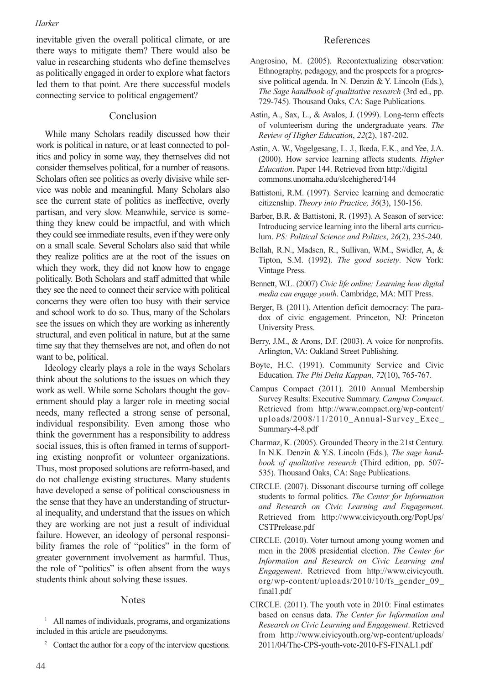inevitable given the overall political climate, or are there ways to mitigate them? There would also be value in researching students who define themselves as politically engaged in order to explore what factors led them to that point. Are there successful models connecting service to political engagement?

## Conclusion

While many Scholars readily discussed how their work is political in nature, or at least connected to politics and policy in some way, they themselves did not consider themselves political, for a number of reasons. Scholars often see politics as overly divisive while service was noble and meaningful. Many Scholars also see the current state of politics as ineffective, overly partisan, and very slow. Meanwhile, service is something they knew could be impactful, and with which they could see immediate results, even if they were only on a small scale. Several Scholars also said that while they realize politics are at the root of the issues on which they work, they did not know how to engage politically. Both Scholars and staff admitted that while they see the need to connect their service with political concerns they were often too busy with their service and school work to do so. Thus, many of the Scholars see the issues on which they are working as inherently structural, and even political in nature, but at the same time say that they themselves are not, and often do not want to be, political.

Ideology clearly plays a role in the ways Scholars think about the solutions to the issues on which they work as well. While some Scholars thought the government should play a larger role in meeting social needs, many reflected a strong sense of personal, individual responsibility. Even among those who think the government has a responsibility to address social issues, this is often framed in terms of supporting existing nonprofit or volunteer organizations. Thus, most proposed solutions are reform-based, and do not challenge existing structures. Many students have developed a sense of political consciousness in the sense that they have an understanding of structural inequality, and understand that the issues on which they are working are not just a result of individual failure. However, an ideology of personal responsibility frames the role of "politics" in the form of greater government involvement as harmful. Thus, the role of "politics" is often absent from the ways students think about solving these issues.

#### Notes

- <sup>1</sup> All names of individuals, programs, and organizations included in this article are pseudonyms.
	- <sup>2</sup> Contact the author for a copy of the interview questions.

## References

- Angrosino, M. (2005). Recontextualizing observation: Ethnography, pedagogy, and the prospects for a progressive political agenda. In N. Denzin & Y. Lincoln (Eds.), *The Sage handbook of qualitative research* (3rd ed., pp. 729-745). Thousand Oaks, CA: Sage Publications.
- Astin, A., Sax, L., & Avalos, J. (1999). Long-term effects of volunteerism during the undergraduate years. *The Review of Higher Education*, *22*(2), 187-202.
- Astin, A. W., Vogelgesang, L. J., Ikeda, E.K., and Yee, J.A. (2000). How service learning affects students. *Higher Education*. Paper 144. Retrieved from http://digital commons.unomaha.edu/slcehighered/144
- Battistoni, R.M. (1997). Service learning and democratic citizenship. *Theory into Practice, 36*(3), 150-156.
- Barber, B.R. & Battistoni, R. (1993). A Season of service: Introducing service learning into the liberal arts curriculum. *PS: Political Science and Politics*, *26*(2), 235-240.
- Bellah, R.N., Madsen, R., Sullivan, W.M., Swidler, A, & Tipton, S.M. (1992). *The good society*. New York: Vintage Press.
- Bennett, W.L. (2007) *Civic life online: Learning how digital media can engage youth*. Cambridge, MA: MIT Press.
- Berger, B. (2011). Attention deficit democracy: The paradox of civic engagement. Princeton, NJ: Princeton University Press.
- Berry, J.M., & Arons, D.F. (2003). A voice for nonprofits. Arlington, VA: Oakland Street Publishing.
- Boyte, H.C. (1991). Community Service and Civic Education. *The Phi Delta Kappan*, *72*(10), 765-767.
- Campus Compact (2011). 2010 Annual Membership Survey Results: Executive Summary. *Campus Compact*. Retrieved from http://www.compact.org/wp-content/ uploads/2008/11/2010\_Annual-Survey\_Exec\_ Summary-4-8.pdf
- Charmaz, K. (2005). GroundedTheory in the 21st Century. In N.K. Denzin & Y.S. Lincoln (Eds.), *The sage handbook of qualitative research* (Third edition, pp. 507- 535). Thousand Oaks, CA: Sage Publications.
- CIRCLE. (2007). Dissonant discourse turning off college students to formal politics. *The Center for Information and Research on Civic Learning and Engagement*. Retrieved from http://www.civicyouth.org/PopUps/ CSTPrelease.pdf
- CIRCLE. (2010). Voter turnout among young women and men in the 2008 presidential election. *The Center for Information and Research on Civic Learning and Engagement*. Retrieved from http://www.civicyouth. org/wp-content/uploads/2010/10/fs\_gender\_09\_ final1.pdf
- CIRCLE. (2011). The youth vote in 2010: Final estimates based on census data. *The Center for Information and Research on Civic Learning and Engagement*. Retrieved from http://www.civicyouth.org/wp-content/uploads/ 2011/04/The-CPS-youth-vote-2010-FS-FINAL1.pdf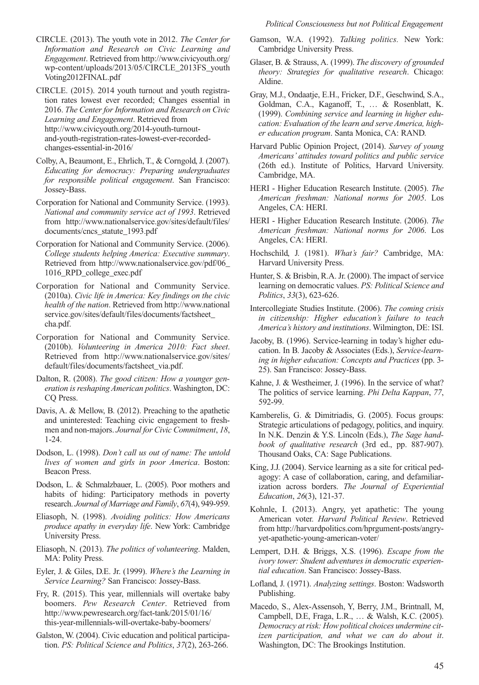CIRCLE. (2013). The youth vote in 2012. *The Center for Information and Research on Civic Learning and Engagement*. Retrieved from http://www.civicyouth.org/ wp-content/uploads/2013/05/CIRCLE\_2013FS\_youth Voting2012FINAL.pdf

CIRCLE. (2015). 2014 youth turnout and youth registration rates lowest ever recorded; Changes essential in 2016. *The Center for Information and Research on Civic Learning and Engagement*. Retrieved from http://www.civicyouth.org/2014-youth-turnoutand-youth-registration-rates-lowest-ever-recordedchanges-essential-in-2016/

- Colby, A, Beaumont, E., Ehrlich, T., & Corngold, J. (2007). *Educating for democracy: Preparing undergraduates for responsible political engagement*. San Francisco: Jossey-Bass.
- Corporation for National and Community Service. (1993). *National and community service act of 1993*. Retrieved from http://www.nationalservice.gov/sites/default/files/ documents/cncs\_statute\_1993.pdf
- Corporation for National and Community Service. (2006). *College students helping America: Executive summary*. Retrieved from http://www.nationalservice.gov/pdf/06\_ 1016\_RPD\_college\_exec.pdf
- Corporation for National and Community Service. (2010a). *Civic life in America: Key findings on the civic health of the nation*. Retrieved from http://www.national service.gov/sites/default/files/documents/factsheet\_ cha.pdf.
- Corporation for National and Community Service. (2010b). *Volunteering in America 2010: Fact sheet*. Retrieved from http://www.nationalservice.gov/sites/ default/files/documents/factsheet\_via.pdf.
- Dalton, R. (2008). *The good citizen: How a younger generation isreshapingAmerican politics*. Washington, DC: CQ Press.
- Davis, A. & Mellow, B. (2012). Preaching to the apathetic and uninterested: Teaching civic engagement to freshmen and non-majors. *Journal for Civic Commitment*, *18*, 1-24.
- Dodson, L. (1998). *Don't call us out of name: The untold lives of women and girls in poor America*. Boston: Beacon Press.
- Dodson, L. & Schmalzbauer, L. (2005). Poor mothers and habits of hiding: Participatory methods in poverty research. *Journal of Marriage and Family*, *67*(4), 949-959.
- Eliasoph, N. (1998). *Avoiding politics: How Americans produce apathy in everyday life*. New York: Cambridge University Press.
- Eliasoph, N. (2013). *The politics of volunteering*. Malden, MA: Polity Press.
- Eyler, J. & Giles, D.E. Jr. (1999). *Where's the Learning in Service Learning?* San Francisco: Jossey-Bass.
- Fry, R. (2015). This year, millennials will overtake baby boomers. *Pew Research Center*. Retrieved from http://www.pewresearch.org/fact-tank/2015/01/16/ this-year-millennials-will-overtake-baby-boomers/
- Galston, W. (2004). Civic education and political participation. *PS: Political Science and Politics*, *37*(2), 263-266.
- Gamson, W.A. (1992). *Talking politics.* New York: Cambridge University Press.
- Glaser, B. & Strauss, A. (1999). *The discovery of grounded theory: Strategies for qualitative research*. Chicago: Aldine.
- Gray, M.J., Ondaatje, E.H., Fricker, D.F., Geschwind, S.A., Goldman, C.A., Kaganoff, T., … & Rosenblatt, K. (1999). *Combining service and learning in higher education: Evaluation of the learn and serveAmerica, higher education program*. Santa Monica, CA: RAND.
- Harvard Public Opinion Project, (2014). *Survey of young Americans' attitudes toward politics and public service* (26th ed.). Institute of Politics, Harvard University. Cambridge, MA.
- HERI Higher Education Research Institute. (2005). *The American freshman: National norms for 2005*. Los Angeles, CA: HERI.
- HERI Higher Education Research Institute. (2006). *The American freshman: National norms for 2006*. Los Angeles, CA: HERI.
- Hochschild, J. (1981). *What's fair?* Cambridge, MA: Harvard University Press.
- Hunter, S. & Brisbin, R.A. Jr. (2000). The impact of service learning on democratic values. *PS: Political Science and Politics*, *33*(3), 623-626.
- Intercollegiate Studies Institute. (2006). *The coming crisis in citizenship: Higher education's failure to teach America's history and institutions*. Wilmington, DE: ISI.
- Jacoby, B. (1996). Service-learning in today's higher education. In B. Jacoby & Associates (Eds.), *Service-learning in higher education: Concepts and Practices* (pp. 3- 25). San Francisco: Jossey-Bass.
- Kahne, J. & Westheimer, J. (1996). In the service of what? The politics of service learning. *Phi Delta Kappan*, *77*, 592-99.
- Kamberelis, G. & Dimitriadis, G. (2005). Focus groups: Strategic articulations of pedagogy, politics, and inquiry. In N.K. Denzin & Y.S. Lincoln (Eds.), *The Sage handbook of qualitative research* (3rd ed., pp. 887-907). Thousand Oaks, CA: Sage Publications.
- King, J.J. (2004). Service learning as a site for critical pedagogy: A case of collaboration, caring, and defamiliarization across borders. *The Journal of Experiential Education*, *26*(3), 121-37.
- Kohnle, I. (2013). Angry, yet apathetic: The young American voter. *Harvard Political Review*. Retrieved from http://harvardpolitics.com/hprgument-posts/angryyet-apathetic-young-american-voter/
- Lempert, D.H. & Briggs, X.S. (1996). *Escape from the ivory tower: Student adventures in democratic experiential education*. San Francisco: Jossey-Bass.
- Lofland, J. (1971). *Analyzing settings*. Boston: Wadsworth Publishing.
- Macedo, S., Alex-Assensoh, Y, Berry, J.M., Brintnall, M, Campbell, D.E, Fraga, L.R., … & Walsh, K.C. (2005). *Democracy atrisk: How political choices undermine citizen participation, and what we can do about it*. Washington, DC: The Brookings Institution.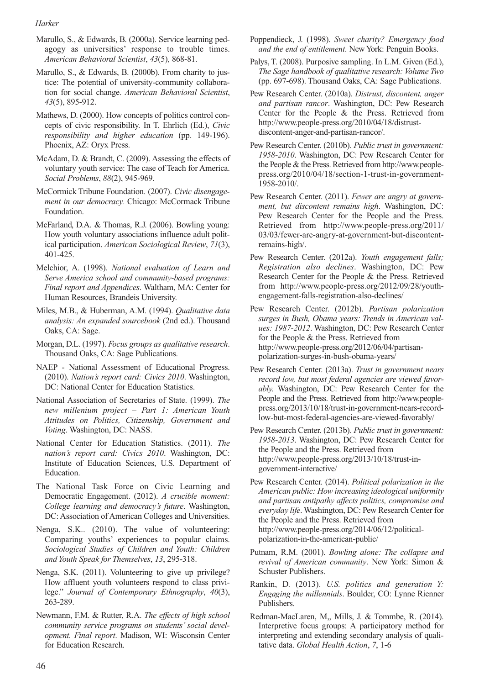- Marullo, S., & Edwards, B. (2000a). Service learning pedagogy as universities' response to trouble times. *American Behavioral Scientist*, *43*(5), 868-81.
- Marullo, S., & Edwards, B. (2000b). From charity to justice: The potential of university-community collaboration for social change. *American Behavioral Scientist*, *43*(5), 895-912.
- Mathews, D. (2000). How concepts of politics control concepts of civic responsibility. In T. Ehrlich (Ed.), *Civic responsibility and higher education* (pp. 149-196). Phoenix, AZ: Oryx Press.
- McAdam, D. & Brandt, C. (2009). Assessing the effects of voluntary youth service: The case of Teach for America. *Social Problems*, *88*(2), 945-969.
- McCormick Tribune Foundation. (2007). *Civic disengagement in our democracy.* Chicago: McCormack Tribune Foundation.
- McFarland, D.A. & Thomas, R.J. (2006). Bowling young: How youth voluntary associations influence adult political participation. *American Sociological Review*, *71*(3), 401-425.
- Melchior, A. (1998). *National evaluation of Learn and Serve America school and community-based programs: Final report and Appendices*. Waltham, MA: Center for Human Resources, Brandeis University.
- Miles, M.B., & Huberman, A.M. (1994). *Qualitative data analysis: An expanded sourcebook* (2nd ed.). Thousand Oaks, CA: Sage.
- Morgan, D.L. (1997). *Focus groups as qualitative research*. Thousand Oaks, CA: Sage Publications.
- NAEP National Assessment of Educational Progress. (2010). *Nation's report card: Civics 2010*. Washington, DC: National Center for Education Statistics.
- National Association of Secretaries of State. (1999). *The new millenium project – Part 1: American Youth Attitudes on Politics, Citizenship, Government and Voting*. Washington, DC: NASS.
- National Center for Education Statistics. (2011). *The nation's report card: Civics 2010*. Washington, DC: Institute of Education Sciences, U.S. Department of Education.
- The National Task Force on Civic Learning and Democratic Engagement. (2012). *A crucible moment: College learning and democracy's future*. Washington, DC: Association of American Colleges and Universities.
- Nenga, S.K.. (2010). The value of volunteering: Comparing youths' experiences to popular claims. *Sociological Studies of Children and Youth: Children and Youth Speak for Themselves*, *13*, 295-318.
- Nenga, S.K. (2011). Volunteering to give up privilege? How affluent youth volunteers respond to class privilege." *Journal of Contemporary Ethnography*, *40*(3), 263-289.
- Newmann, F.M. & Rutter, R.A. *The effects of high school community service programs on students' social development. Final report*. Madison, WI: Wisconsin Center for Education Research.
- Poppendieck, J. (1998). *Sweet charity? Emergency food and the end of entitlement*. New York: Penguin Books.
- Palys, T. (2008). Purposive sampling. In L.M. Given (Ed.), *The Sage handbook of qualitative research: Volume Two* (pp. 697-698). Thousand Oaks, CA: Sage Publications.
- Pew Research Center. (2010a). *Distrust, discontent, anger and partisan rancor*. Washington, DC: Pew Research Center for the People & the Press. Retrieved from http://www.people-press.org/2010/04/18/distrustdiscontent-anger-and-partisan-rancor/.
- Pew Research Center. (2010b). *Public trust in government: 1958-2010*. Washington, DC: Pew Research Center for the People & the Press. Retrieved from http://www.peoplepress.org/2010/04/18/section-1-trust-in-government-1958-2010/.
- Pew Research Center. (2011). *Fewer are angry at government, but discontent remains high*. Washington, DC: Pew Research Center for the People and the Press. Retrieved from http://www.people-press.org/2011/ 03/03/fewer-are-angry-at-government-but-discontentremains-high/.
- Pew Research Center. (2012a). *Youth engagement falls; Registration also declines*. Washington, DC: Pew Research Center for the People & the Press. Retrieved from http://www.people-press.org/2012/09/28/youthengagement-falls-registration-also-declines/
- Pew Research Center. (2012b). *Partisan polarization surges in Bush, Obama years: Trends in American values: 1987-2012*. Washington, DC: Pew Research Center for the People & the Press. Retrieved from http://www.people-press.org/2012/06/04/partisanpolarization-surges-in-bush-obama-years/
- Pew Research Center. (2013a). *Trust in government nears record low, but most federal agencies are viewed favorably.* Washington, DC: Pew Research Center for the People and the Press. Retrieved from http://www.peoplepress.org/2013/10/18/trust-in-government-nears-recordlow-but-most-federal-agencies-are-viewed-favorably/
- Pew Research Center. (2013b). *Public trust in government: 1958-2013*. Washington, DC: Pew Research Center for the People and the Press. Retrieved from http://www.people-press.org/2013/10/18/trust-ingovernment-interactive/
- Pew Research Center. (2014). *Political polarization in the American public: How increasing ideological uniformity and partisan antipathy affects politics, compromise and everyday life*. Washington, DC: Pew Research Center for the People and the Press. Retrieved from http://www.people-press.org/2014/06/12/politicalpolarization-in-the-american-public/
- Putnam, R.M. (2001). *Bowling alone: The collapse and revival of American community*. New York: Simon & Schuster Publishers.
- Rankin, D. (2013). *U.S. politics and generation Y: Engaging the millennials*. Boulder, CO: Lynne Rienner Publishers.
- Redman-MacLaren, M,, Mills, J. & Tommbe, R. (2014). Interpretive focus groups: A participatory method for interpreting and extending secondary analysis of qualitative data. *Global Health Action*, *7*, 1-6